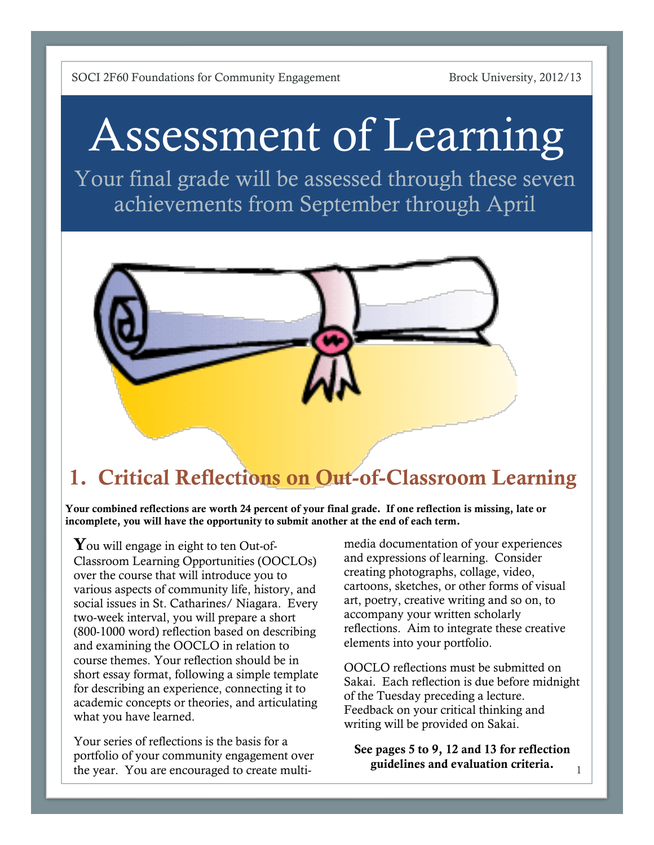# Assessment of Learning

Your final grade will be assessed through these seven achievements from September through April



### 1. Critical Reflections on Out-of-Classroom Learning

Your combined reflections are worth 24 percent of your final grade. If one reflection is missing, late or incomplete, you will have the opportunity to submit another at the end of each term.

You will engage in eight to ten Out-of-Classroom Learning Opportunities (OOCLOs) over the course that will introduce you to various aspects of community life, history, and social issues in St. Catharines/ Niagara. Every two-week interval, you will prepare a short (800-1000 word) reflection based on describing and examining the OOCLO in relation to course themes. Your reflection should be in short essay format, following a simple template for describing an experience, connecting it to academic concepts or theories, and articulating what you have learned.

Your series of reflections is the basis for a portfolio of your community engagement over the year. You are encouraged to create multimedia documentation of your experiences and expressions of learning. Consider creating photographs, collage, video, cartoons, sketches, or other forms of visual art, poetry, creative writing and so on, to accompany your written scholarly reflections. Aim to integrate these creative elements into your portfolio.

OOCLO reflections must be submitted on Sakai. Each reflection is due before midnight of the Tuesday preceding a lecture. Feedback on your critical thinking and writing will be provided on Sakai.

See pages 5 to 9, 12 and 13 for reflection guidelines and evaluation criteria.

1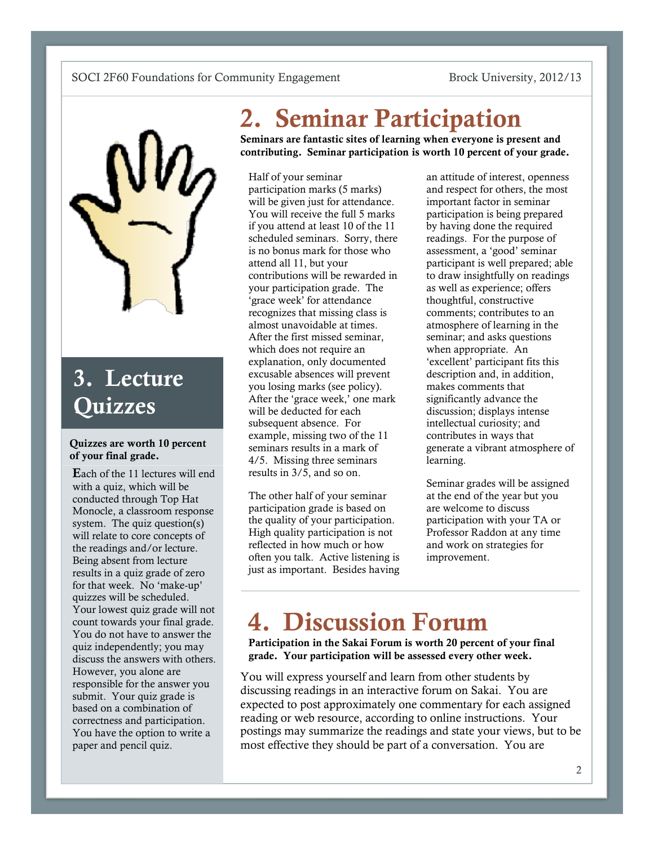

## 3. Lecture **Ouizzes**

#### Quizzes are worth 10 percent of your final grade.

Each of the 11 lectures will end with a quiz, which will be conducted through Top Hat Monocle, a classroom response system. The quiz question(s) will relate to core concepts of the readings and/or lecture. Being absent from lecture results in a quiz grade of zero for that week. No 'make-up' quizzes will be scheduled. Your lowest quiz grade will not count towards your final grade. You do not have to answer the quiz independently; you may discuss the answers with others. However, you alone are responsible for the answer you submit. Your quiz grade is based on a combination of correctness and participation. You have the option to write a paper and pencil quiz.

# 2. Seminar Participation

Seminars are fantastic sites of learning when everyone is present and contributing. Seminar participation is worth 10 percent of your grade.

Half of your seminar participation marks (5 marks) will be given just for attendance. You will receive the full 5 marks if you attend at least 10 of the 11 scheduled seminars. Sorry, there is no bonus mark for those who attend all 11, but your contributions will be rewarded in your participation grade. The 'grace week' for attendance recognizes that missing class is almost unavoidable at times. After the first missed seminar, which does not require an explanation, only documented excusable absences will prevent you losing marks (see policy). After the 'grace week,' one mark will be deducted for each subsequent absence. For example, missing two of the 11 seminars results in a mark of 4/5. Missing three seminars results in 3/5, and so on.

The other half of your seminar participation grade is based on the quality of your participation. High quality participation is not reflected in how much or how often you talk. Active listening is just as important. Besides having

an attitude of interest, openness and respect for others, the most important factor in seminar participation is being prepared by having done the required readings. For the purpose of assessment, a 'good' seminar participant is well prepared; able to draw insightfully on readings as well as experience; offers thoughtful, constructive comments; contributes to an atmosphere of learning in the seminar; and asks questions when appropriate. An 'excellent' participant fits this description and, in addition, makes comments that significantly advance the discussion; displays intense intellectual curiosity; and contributes in ways that generate a vibrant atmosphere of learning.

Seminar grades will be assigned at the end of the year but you are welcome to discuss participation with your TA or Professor Raddon at any time and work on strategies for improvement.

# 4. Discussion Forum

Participation in the Sakai Forum is worth 20 percent of your final grade. Your participation will be assessed every other week.

You will express yourself and learn from other students by discussing readings in an interactive forum on Sakai. You are expected to post approximately one commentary for each assigned reading or web resource, according to online instructions. Your postings may summarize the readings and state your views, but to be most effective they should be part of a conversation. You are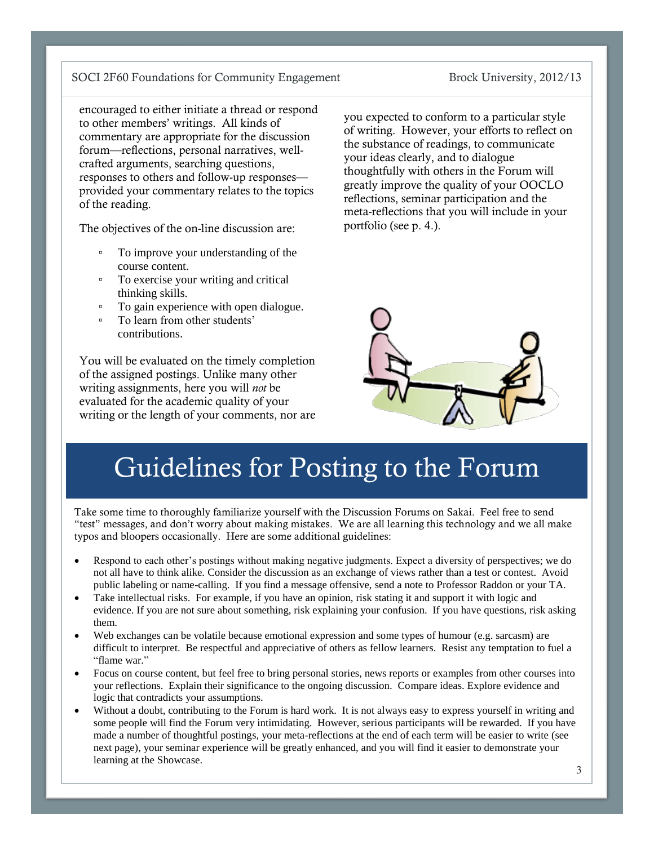#### encouraged to either initiate a thread or respond to other members' writings. All kinds of commentary are appropriate for the discussion forum—reflections, personal narratives, wellcrafted arguments, searching questions, responses to others and follow-up responses provided your commentary relates to the topics of the reading.

The objectives of the on-line discussion are:

- To improve your understanding of the course content.
- To exercise your writing and critical thinking skills.
- To gain experience with open dialogue.
- To learn from other students' contributions.

You will be evaluated on the timely completion of the assigned postings. Unlike many other writing assignments, here you will *not* be evaluated for the academic quality of your writing or the length of your comments, nor are you expected to conform to a particular style of writing. However, your efforts to reflect on the substance of readings, to communicate your ideas clearly, and to dialogue thoughtfully with others in the Forum will greatly improve the quality of your OOCLO reflections, seminar participation and the meta-reflections that you will include in your portfolio (see p. 4.).



# Guidelines for Posting to the Forum

Take some time to thoroughly familiarize yourself with the Discussion Forums on Sakai. Feel free to send "test" messages, and don't worry about making mistakes. We are all learning this technology and we all make typos and bloopers occasionally. Here are some additional guidelines:

- Respond to each other's postings without making negative judgments. Expect a diversity of perspectives; we do not all have to think alike. Consider the discussion as an exchange of views rather than a test or contest. Avoid public labeling or name-calling. If you find a message offensive, send a note to Professor Raddon or your TA.
- Take intellectual risks. For example, if you have an opinion, risk stating it and support it with logic and evidence. If you are not sure about something, risk explaining your confusion. If you have questions, risk asking them.
- Web exchanges can be volatile because emotional expression and some types of humour (e.g. sarcasm) are difficult to interpret. Be respectful and appreciative of others as fellow learners. Resist any temptation to fuel a "flame war."
- Focus on course content, but feel free to bring personal stories, news reports or examples from other courses into your reflections. Explain their significance to the ongoing discussion. Compare ideas. Explore evidence and logic that contradicts your assumptions.
- Without a doubt, contributing to the Forum is hard work. It is not always easy to express yourself in writing and some people will find the Forum very intimidating. However, serious participants will be rewarded. If you have made a number of thoughtful postings, your meta-reflections at the end of each term will be easier to write (see next page), your seminar experience will be greatly enhanced, and you will find it easier to demonstrate your learning at the Showcase.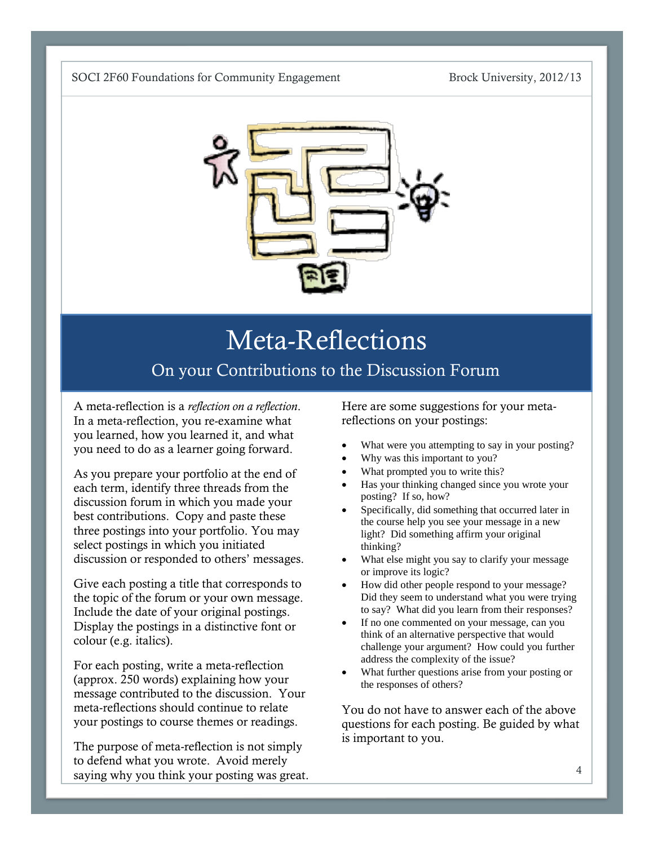

## Meta-Reflections On your Contributions to the Discussion Forum

A meta-reflection is a *reflection on a reflection*. In a meta-reflection, you re-examine what you learned, how you learned it, and what you need to do as a learner going forward.

As you prepare your portfolio at the end of each term, identify three threads from the discussion forum in which you made your best contributions. Copy and paste these three postings into your portfolio. You may select postings in which you initiated discussion or responded to others' messages.

Give each posting a title that corresponds to the topic of the forum or your own message. Include the date of your original postings. Display the postings in a distinctive font or colour (e.g. italics).

For each posting, write a meta-reflection (approx. 250 words) explaining how your message contributed to the discussion. Your meta-reflections should continue to relate your postings to course themes or readings.

The purpose of meta-reflection is not simply to defend what you wrote. Avoid merely saying why you think your posting was great.

Here are some suggestions for your metareflections on your postings:

- What were you attempting to say in your posting?
- Why was this important to you?
- What prompted you to write this?
- Has your thinking changed since you wrote your posting? If so, how?
- Specifically, did something that occurred later in the course help you see your message in a new light? Did something affirm your original thinking?
- What else might you say to clarify your message or improve its logic?
- How did other people respond to your message? Did they seem to understand what you were trying to say? What did you learn from their responses?
- If no one commented on your message, can you think of an alternative perspective that would challenge your argument? How could you further address the complexity of the issue?
- What further questions arise from your posting or the responses of others?

You do not have to answer each of the above questions for each posting. Be guided by what is important to you.

the final grade.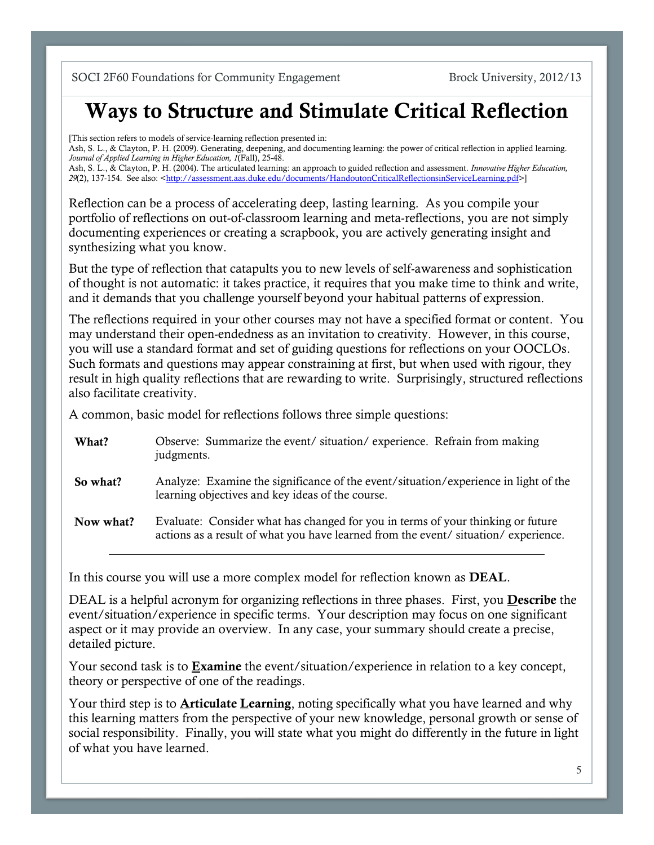### Ways to Structure and Stimulate Critical Reflection

[This section refers to models of service-learning reflection presented in: Ash, S. L., & Clayton, P. H. (2009). Generating, deepening, and documenting learning: the power of critical reflection in applied learning. *Journal of Applied Learning in Higher Education, 1*(Fall), 25-48. Ash, S. L., & Clayton, P. H. (2004). The articulated learning: an approach to guided reflection and assessment. *Innovative Higher Education, 29*(2), 137-154. See also: [<http://assessment.aas.duke.edu/documents/HandoutonCriticalReflectionsinServiceLearning.pdf>](http://assessment.aas.duke.edu/documents/HandoutonCriticalReflectionsinServiceLearning.pdf)]

Reflection can be a process of accelerating deep, lasting learning. As you compile your portfolio of reflections on out-of-classroom learning and meta-reflections, you are not simply documenting experiences or creating a scrapbook, you are actively generating insight and synthesizing what you know.

But the type of reflection that catapults you to new levels of self-awareness and sophistication of thought is not automatic: it takes practice, it requires that you make time to think and write, and it demands that you challenge yourself beyond your habitual patterns of expression.

The reflections required in your other courses may not have a specified format or content. You may understand their open-endedness as an invitation to creativity. However, in this course, you will use a standard format and set of guiding questions for reflections on your OOCLOs. Such formats and questions may appear constraining at first, but when used with rigour, they result in high quality reflections that are rewarding to write. Surprisingly, structured reflections also facilitate creativity.

A common, basic model for reflections follows three simple questions:

| What?     | Observe: Summarize the event/situation/experience. Refrain from making<br>judgments.                                                                                 |
|-----------|----------------------------------------------------------------------------------------------------------------------------------------------------------------------|
| So what?  | Analyze: Examine the significance of the event/situation/experience in light of the<br>learning objectives and key ideas of the course.                              |
| Now what? | Evaluate: Consider what has changed for you in terms of your thinking or future<br>actions as a result of what you have learned from the event/situation/experience. |

In this course you will use a more complex model for reflection known as DEAL.

DEAL is a helpful acronym for organizing reflections in three phases. First, you **Describe** the event/situation/experience in specific terms. Your description may focus on one significant aspect or it may provide an overview. In any case, your summary should create a precise, detailed picture.

Your second task is to **Examine** the event/situation/experience in relation to a key concept, theory or perspective of one of the readings.

Your third step is to **Articulate Learning**, noting specifically what you have learned and why this learning matters from the perspective of your new knowledge, personal growth or sense of social responsibility. Finally, you will state what you might do differently in the future in light of what you have learned.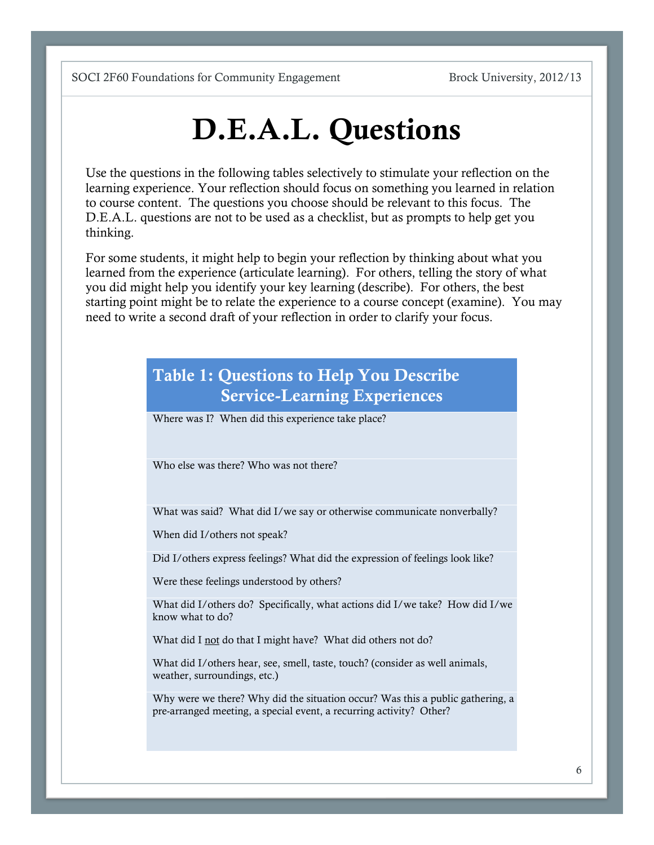# D.E.A.L. Questions

Use the questions in the following tables selectively to stimulate your reflection on the learning experience. Your reflection should focus on something you learned in relation to course content. The questions you choose should be relevant to this focus. The D.E.A.L. questions are not to be used as a checklist, but as prompts to help get you thinking.

For some students, it might help to begin your reflection by thinking about what you learned from the experience (articulate learning). For others, telling the story of what you did might help you identify your key learning (describe). For others, the best starting point might be to relate the experience to a course concept (examine). You may need to write a second draft of your reflection in order to clarify your focus.

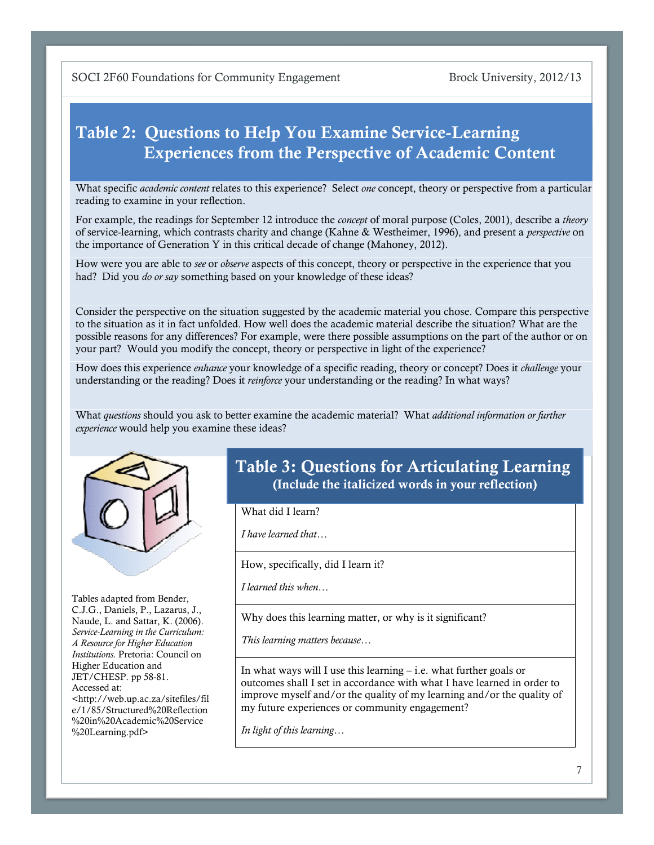### Table 2: Questions to Help You Examine Service-Learning Experiences from the Perspective of Academic Content

What specific *academic content* relates to this experience? Select *one* concept, theory or perspective from a particular reading to examine in your reflection.

For example, the readings for September 12 introduce the *concept* of moral purpose (Coles, 2001), describe a *theory* of service-learning, which contrasts charity and change (Kahne & Westheimer, 1996), and present a *perspective* on the importance of Generation Y in this critical decade of change (Mahoney, 2012).

How were you are able to *see* or *observe* aspects of this concept, theory or perspective in the experience that you had? Did you *do or say* something based on your knowledge of these ideas?

Consider the perspective on the situation suggested by the academic material you chose. Compare this perspective to the situation as it in fact unfolded. How well does the academic material describe the situation? What are the possible reasons for any differences? For example, were there possible assumptions on the part of the author or on your part? Would you modify the concept, theory or perspective in light of the experience?

How does this experience *enhance* your knowledge of a specific reading, theory or concept? Does it *challenge* your understanding or the reading? Does it *reinforce* your understanding or the reading? In what ways?

What *questions* should you ask to better examine the academic material? What *additional information or further experience* would help you examine these ideas?



Tables adapted from Bender, C.J.G., Daniels, P., Lazarus, J., Naude, L. and Sattar, K. (2006). *Service-Learning in the Curriculum: A Resource for Higher Education Institutions.* Pretoria: Council on Higher Education and JET/CHESP. pp 58-81. Accessed at: <http://web.up.ac.za/sitefiles/fil e/1/85/Structured%20Reflection %20in%20Academic%20Service

%20Learning.pdf>

Table 3: Questions for Articulating Learning (Include the italicized words in your reflection)

What did I learn?

*I have learned that…*

How, specifically, did I learn it?

*I learned this when…*

Why does this learning matter, or why is it significant?

*This learning matters because…*

In what ways will I use this learning – i.e. what further goals or outcomes shall I set in accordance with what I have learned in order to improve myself and/or the quality of my learning and/or the quality of my future experiences or community engagement?

*In light of this learning…*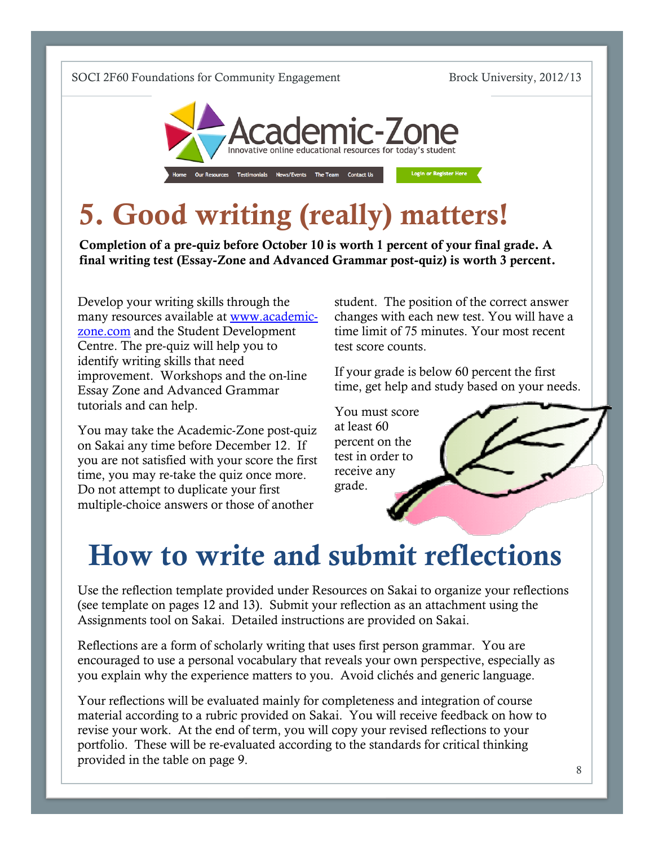

# 5. Good writing (really) matters!

Completion of a pre-quiz before October 10 is worth 1 percent of your final grade. A final writing test (Essay-Zone and Advanced Grammar post-quiz) is worth 3 percent.

Develop your writing skills through the many resources available at [www.academic](http://www.academic-zone.com/)[zone.com](http://www.academic-zone.com/) and the Student Development Centre. The pre-quiz will help you to identify writing skills that need improvement. Workshops and the on-line Essay Zone and Advanced Grammar tutorials and can help.

You may take the Academic-Zone post-quiz on Sakai any time before December 12. If you are not satisfied with your score the first time, you may re-take the quiz once more. Do not attempt to duplicate your first multiple-choice answers or those of another

student. The position of the correct answer changes with each new test. You will have a time limit of 75 minutes. Your most recent test score counts.

If your grade is below 60 percent the first time, get help and study based on your needs.

You must score at least 60 percent on the test in order to receive any grade.

# How to write and submit reflections

Use the reflection template provided under Resources on Sakai to organize your reflections (see template on pages 12 and 13). Submit your reflection as an attachment using the Assignments tool on Sakai. Detailed instructions are provided on Sakai.

Reflections are a form of scholarly writing that uses first person grammar. You are encouraged to use a personal vocabulary that reveals your own perspective, especially as you explain why the experience matters to you. Avoid clichés and generic language.

Your reflections will be evaluated mainly for completeness and integration of course material according to a rubric provided on Sakai. You will receive feedback on how to revise your work. At the end of term, you will copy your revised reflections to your portfolio. These will be re-evaluated according to the standards for critical thinking provided in the table on page 9.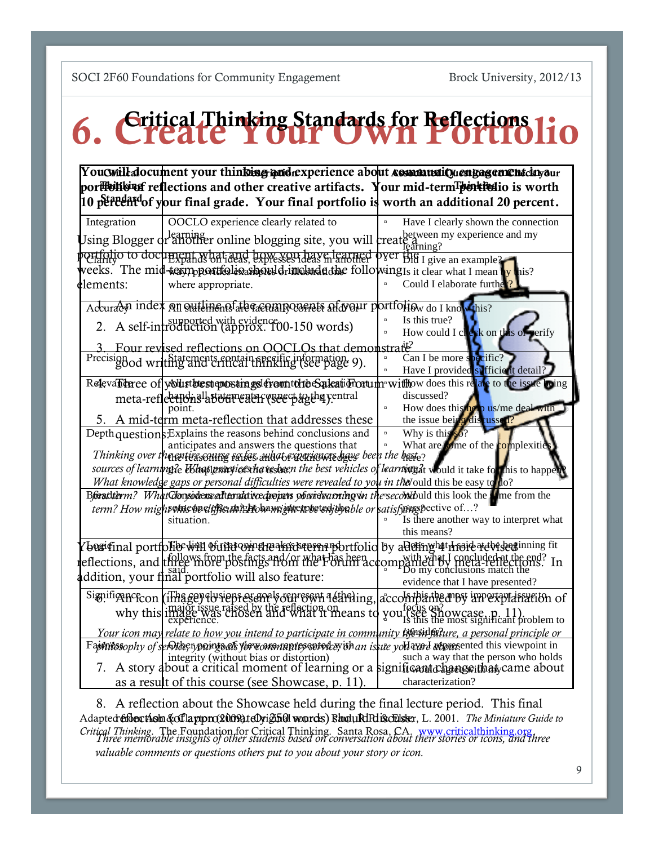# 6. Critical Thinking Standards for Reflections lio

You Cwill document your thin bing iptidrexperience about AssociatediQuengagement clayaur portfolitor reflections and other creative artifacts. Your mid-term portfolio is worth 10 percent of your final grade. Your final portfolio is worth an additional 20 percent.

| Integration                                                                                                                     | OOCLO experience clearly related to                                                                                 | Have I clearly shown the connection<br>$\Box$           |  |
|---------------------------------------------------------------------------------------------------------------------------------|---------------------------------------------------------------------------------------------------------------------|---------------------------------------------------------|--|
|                                                                                                                                 | Using Blogger of another online blogging site, you will create detween my experience and my                         |                                                         |  |
|                                                                                                                                 | portfolio to document what and how you have learned over the I give an example?                                     |                                                         |  |
|                                                                                                                                 | weeks. The mid-term portfolioashould rim that following is it clear what I mean in this?                            |                                                         |  |
| dlements:                                                                                                                       | where appropriate.                                                                                                  | Could I elaborate furthe <sup>2</sup><br>$\overline{a}$ |  |
|                                                                                                                                 | Accuracy index on outlinent the century orients and our portfolio <sub>w</sub> do I know this?                      |                                                         |  |
|                                                                                                                                 | 2. A self-introduction (approx. 100-150 words)                                                                      | Is this true?<br>How could I clear on this of perify    |  |
|                                                                                                                                 | Four revised reflections on OOCLOs that demonstrate?                                                                |                                                         |  |
|                                                                                                                                 | Precision of writing and critical thinking (see page 9).                                                            | Can I be more specific?                                 |  |
|                                                                                                                                 |                                                                                                                     | Have I provided sufficient detail?                      |  |
| Relevalidance of youlist brest epostings from the baleau from une withow does this relate to the issue loing                    |                                                                                                                     |                                                         |  |
|                                                                                                                                 | meta-reflections <sup>1</sup> about eater exect to the rentral                                                      | discussed?                                              |  |
|                                                                                                                                 |                                                                                                                     | How does this help us/me deal with<br>$\Box$            |  |
|                                                                                                                                 | 5. A mid-term meta-reflection that addresses these                                                                  | the issue being distussed?                              |  |
|                                                                                                                                 | Depth questions: Explains the reasons behind conclusions and                                                        | Why is this<br>$\overline{a}$                           |  |
|                                                                                                                                 | anticipates and answers the questions that                                                                          | What are $\sinh(\theta)$ what are $\sinh(\theta)$       |  |
|                                                                                                                                 | Thinking over theyentic scause seises and $\mu$ received and the hest $_?$                                          |                                                         |  |
|                                                                                                                                 | sources of learning?e Ushat practices the resbeen the best vehicles of learning at would it take for this to happen |                                                         |  |
|                                                                                                                                 | What knowledge gaps or personal difficulties were revealed to you in the ould this be easy to $\phi$                |                                                         |  |
| Breathlerm? What Clonsode meal thrust it redeeperts of oriental and many intersecond build this look the series of the function |                                                                                                                     |                                                         |  |
|                                                                                                                                 | term? How might ome one of the unitably away interpreted that or satisfying pective of?                             |                                                         |  |
|                                                                                                                                 | situation.                                                                                                          | Is there another way to interpret what                  |  |
|                                                                                                                                 |                                                                                                                     | this means?                                             |  |
|                                                                                                                                 | /bogi¢inal portfolibe will of the compensative remaindortfolio by alleting lat throid at the beginning fit          |                                                         |  |
|                                                                                                                                 | reflections, and three more positings from the Forther hand or what has been comparing to the end?                  |                                                         |  |
|                                                                                                                                 |                                                                                                                     | evidence that I have presented?                         |  |
|                                                                                                                                 |                                                                                                                     |                                                         |  |
|                                                                                                                                 | Significance con (ifhage) to represent your even a theing, accombance are unvertilated on of                        |                                                         |  |
|                                                                                                                                 | why this image was chosen and what it means to you (see Showcase, p. 11).                                           |                                                         |  |
|                                                                                                                                 | Your icon may relate to how you intend to participate in community life singulare, a personal principle or          |                                                         |  |
| Faptnessophy of servide; ypoints of yer worran antes service with an issule you exact appresented this viewpoint in             |                                                                                                                     |                                                         |  |
|                                                                                                                                 | integrity (without bias or distortion)                                                                              | such a way that the person who holds                    |  |
| 7.                                                                                                                              | A story about a critical moment of learning or a significant change ithat, came about                               |                                                         |  |
|                                                                                                                                 | as a result of this course (see Showcase, p. 11).                                                                   | characterization?                                       |  |

8. A reflection about the Showcase held during the final lecture period. This final Adapted choortion & of lappro 2009 to Dyiginal words) Bhould Richtsen, L. 2001. *The Miniature Guide to* Critical Thinking. The Foundation for Critical Thinking. Santa Rosa, CA. www.criticalthinking.org.<br>Three memorable insights of other students based on conversation about [their stories or icons, and th](http://www.criticalthinking.org/)ree *valuable comments or questions others put to you about your story or icon.*

Due Dates: Mid-term Portfolio - December 4, Final Portfolio - April 9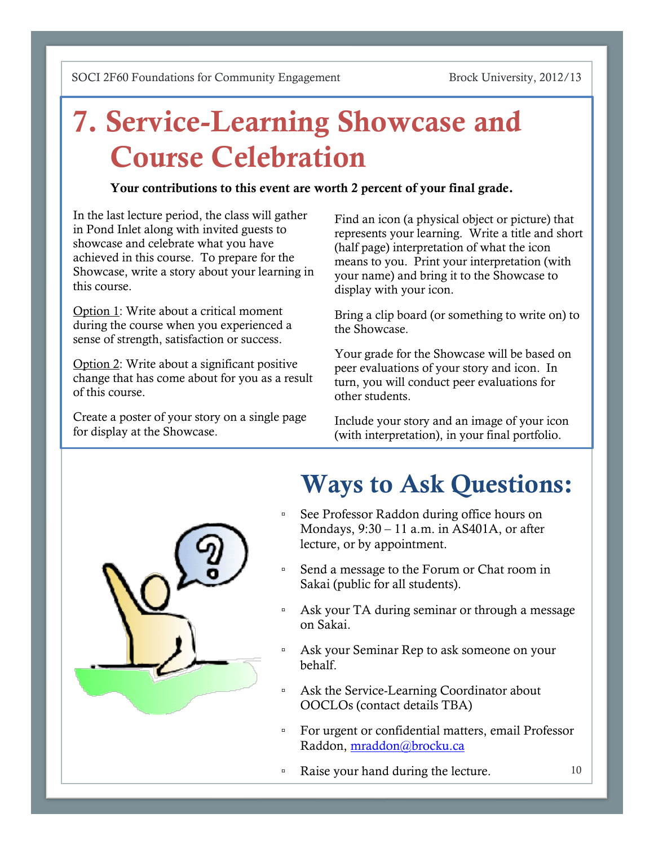# 7. Service-Learning Showcase and Course Celebration

#### Your contributions to this event are worth 2 percent of your final grade.

In the last lecture period, the class will gather in Pond Inlet along with invited guests to showcase and celebrate what you have achieved in this course. To prepare for the Showcase, write a story about your learning in this course.

Option 1: Write about a critical moment during the course when you experienced a sense of strength, satisfaction or success.

Option 2: Write about a significant positive change that has come about for you as a result of this course.

Create a poster of your story on a single page for display at the Showcase.

Find an icon (a physical object or picture) that represents your learning. Write a title and short (half page) interpretation of what the icon means to you. Print your interpretation (with your name) and bring it to the Showcase to display with your icon.

Bring a clip board (or something to write on) to the Showcase.

Your grade for the Showcase will be based on peer evaluations of your story and icon. In turn, you will conduct peer evaluations for other students.

Include your story and an image of your icon (with interpretation), in your final portfolio.



# Ways to Ask Questions:

- See Professor Raddon during office hours on Mondays, 9:30 – 11 a.m. in AS401A, or after lecture, or by appointment.
- Send a message to the Forum or Chat room in Sakai (public for all students).
- Ask your TA during seminar or through a message on Sakai.
- Ask your Seminar Rep to ask someone on your behalf.
- Ask the Service-Learning Coordinator about OOCLOs (contact details TBA)
- For urgent or confidential matters, email Professor Raddon, [mraddon@brocku.ca](mailto:mraddon@brocku.ca)
- Raise your hand during the lecture.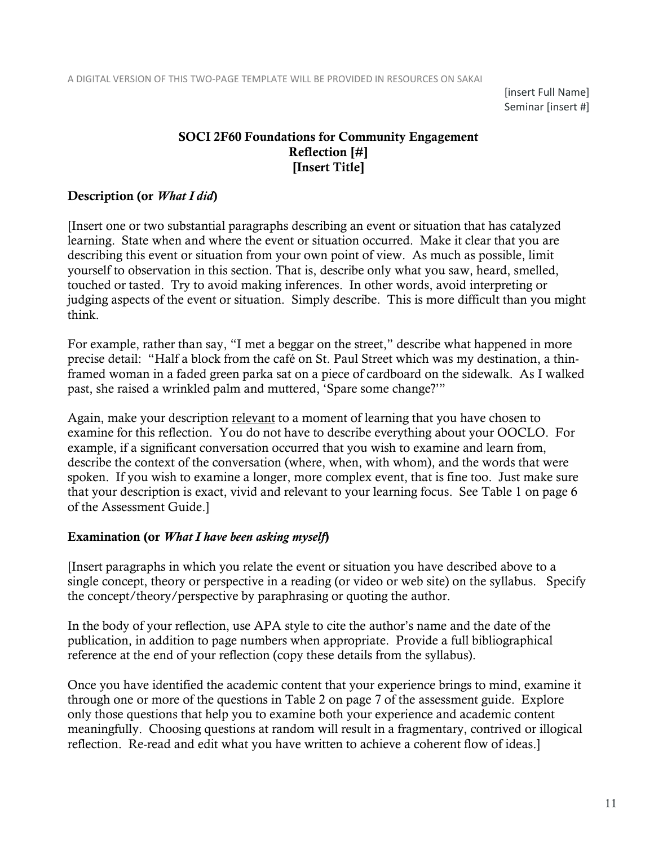[insert Full Name] Seminar [insert #]

### SOCI 2F60 Foundations for Community Engagement Reflection [#] [Insert Title]

#### Description (or *What I did*)

[Insert one or two substantial paragraphs describing an event or situation that has catalyzed learning. State when and where the event or situation occurred. Make it clear that you are describing this event or situation from your own point of view. As much as possible, limit yourself to observation in this section. That is, describe only what you saw, heard, smelled, touched or tasted. Try to avoid making inferences. In other words, avoid interpreting or judging aspects of the event or situation. Simply describe. This is more difficult than you might think.

For example, rather than say, "I met a beggar on the street," describe what happened in more precise detail: "Half a block from the café on St. Paul Street which was my destination, a thinframed woman in a faded green parka sat on a piece of cardboard on the sidewalk. As I walked past, she raised a wrinkled palm and muttered, 'Spare some change?'"

Again, make your description relevant to a moment of learning that you have chosen to examine for this reflection. You do not have to describe everything about your OOCLO. For example, if a significant conversation occurred that you wish to examine and learn from, describe the context of the conversation (where, when, with whom), and the words that were spoken. If you wish to examine a longer, more complex event, that is fine too. Just make sure that your description is exact, vivid and relevant to your learning focus. See Table 1 on page 6 of the Assessment Guide.]

#### Examination (or *What I have been asking myself*)

[Insert paragraphs in which you relate the event or situation you have described above to a single concept, theory or perspective in a reading (or video or web site) on the syllabus. Specify the concept/theory/perspective by paraphrasing or quoting the author.

In the body of your reflection, use APA style to cite the author's name and the date of the publication, in addition to page numbers when appropriate. Provide a full bibliographical reference at the end of your reflection (copy these details from the syllabus).

Once you have identified the academic content that your experience brings to mind, examine it through one or more of the questions in Table 2 on page 7 of the assessment guide. Explore only those questions that help you to examine both your experience and academic content meaningfully. Choosing questions at random will result in a fragmentary, contrived or illogical reflection. Re-read and edit what you have written to achieve a coherent flow of ideas.]